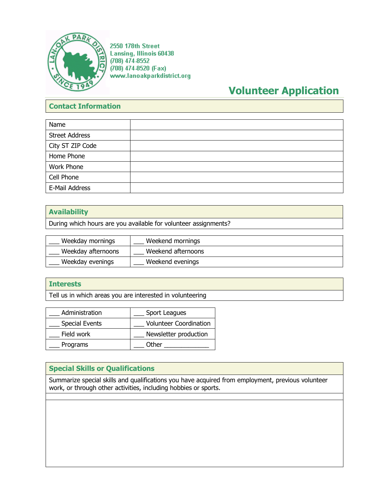

2550 178th Street **Lansing, Illinois 60438**  $(708)$  474-8552 (708) 474-8520 (Fax) www.lanoakparkdistrict.org

# **Volunteer Application**

# **Contact Information**

| Name                  |  |
|-----------------------|--|
| <b>Street Address</b> |  |
| City ST ZIP Code      |  |
| Home Phone            |  |
| Work Phone            |  |
| Cell Phone            |  |
| E-Mail Address        |  |

# **Availability**

During which hours are you available for volunteer assignments?

| Weekday mornings   | Weekend mornings   |
|--------------------|--------------------|
| Weekday afternoons | Weekend afternoons |
| Weekday evenings   | Weekend evenings   |

# **Interests**

Tell us in which areas you are interested in volunteering

| Administration        | Sport Leagues                 |
|-----------------------|-------------------------------|
| <b>Special Events</b> | <b>Volunteer Coordination</b> |
| Field work            | Newsletter production         |
| Programs              | Other                         |

# **Special Skills or Qualifications**

Summarize special skills and qualifications you have acquired from employment, previous volunteer work, or through other activities, including hobbies or sports.